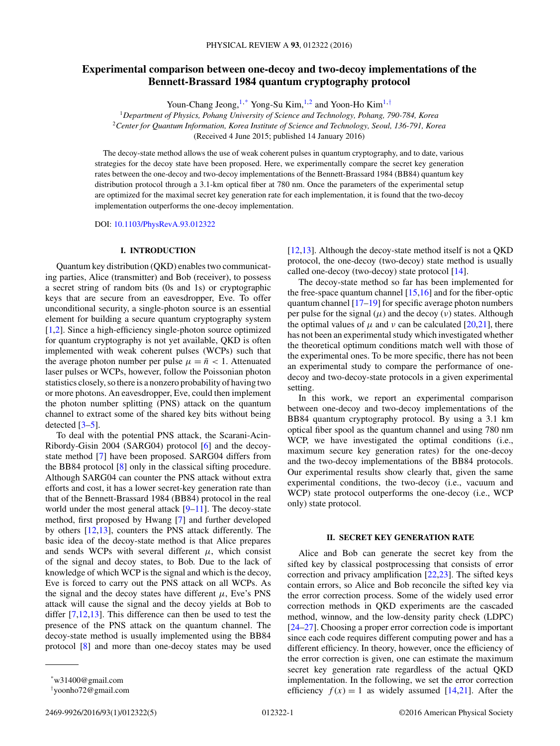# **Experimental comparison between one-decoy and two-decoy implementations of the Bennett-Brassard 1984 quantum cryptography protocol**

Youn-Chang Jeong,<sup>1,\*</sup> Yong-Su Kim,<sup>1,2</sup> and Yoon-Ho Kim<sup>1,†</sup>

<sup>1</sup>*Department of Physics, Pohang University of Science and Technology, Pohang, 790-784, Korea* <sup>2</sup>*Center for Quantum Information, Korea Institute of Science and Technology, Seoul, 136-791, Korea* (Received 4 June 2015; published 14 January 2016)

The decoy-state method allows the use of weak coherent pulses in quantum cryptography, and to date, various strategies for the decoy state have been proposed. Here, we experimentally compare the secret key generation rates between the one-decoy and two-decoy implementations of the Bennett-Brassard 1984 (BB84) quantum key distribution protocol through a 3.1-km optical fiber at 780 nm. Once the parameters of the experimental setup are optimized for the maximal secret key generation rate for each implementation, it is found that the two-decoy implementation outperforms the one-decoy implementation.

DOI: [10.1103/PhysRevA.93.012322](http://dx.doi.org/10.1103/PhysRevA.93.012322)

# **I. INTRODUCTION**

Quantum key distribution (QKD) enables two communicating parties, Alice (transmitter) and Bob (receiver), to possess a secret string of random bits (0s and 1s) or cryptographic keys that are secure from an eavesdropper, Eve. To offer unconditional security, a single-photon source is an essential element for building a secure quantum cryptography system [\[1,2\]](#page-4-0). Since a high-efficiency single-photon source optimized for quantum cryptography is not yet available, QKD is often implemented with weak coherent pulses (WCPs) such that the average photon number per pulse  $\mu = \bar{n} < 1$ . Attenuated laser pulses or WCPs, however, follow the Poissonian photon statistics closely, so there is a nonzero probability of having two or more photons. An eavesdropper, Eve, could then implement the photon number splitting (PNS) attack on the quantum channel to extract some of the shared key bits without being detected [\[3–5\]](#page-4-0).

To deal with the potential PNS attack, the Scarani-Acin-Ribordy-Gisin 2004 (SARG04) protocol [\[6\]](#page-4-0) and the decoystate method [\[7\]](#page-4-0) have been proposed. SARG04 differs from the BB84 protocol [\[8\]](#page-4-0) only in the classical sifting procedure. Although SARG04 can counter the PNS attack without extra efforts and cost, it has a lower secret-key generation rate than that of the Bennett-Brassard 1984 (BB84) protocol in the real world under the most general attack [\[9–11\]](#page-4-0). The decoy-state method, first proposed by Hwang [\[7\]](#page-4-0) and further developed by others [\[12,13\]](#page-4-0), counters the PNS attack differently. The basic idea of the decoy-state method is that Alice prepares and sends WCPs with several different  $\mu$ , which consist of the signal and decoy states, to Bob. Due to the lack of knowledge of which WCP is the signal and which is the decoy, Eve is forced to carry out the PNS attack on all WCPs. As the signal and the decoy states have different  $\mu$ , Eve's PNS attack will cause the signal and the decoy yields at Bob to differ [\[7,12,13\]](#page-4-0). This difference can then be used to test the presence of the PNS attack on the quantum channel. The decoy-state method is usually implemented using the BB84 protocol [\[8\]](#page-4-0) and more than one-decoy states may be used

[\[12,13\]](#page-4-0). Although the decoy-state method itself is not a QKD protocol, the one-decoy (two-decoy) state method is usually called one-decoy (two-decoy) state protocol [\[14\]](#page-4-0).

The decoy-state method so far has been implemented for the free-space quantum channel [\[15,16\]](#page-4-0) and for the fiber-optic quantum channel [\[17–19\]](#page-4-0) for specific average photon numbers per pulse for the signal  $(\mu)$  and the decoy  $(\nu)$  states. Although the optimal values of  $\mu$  and  $\nu$  can be calculated [\[20,21\]](#page-4-0), there has not been an experimental study which investigated whether the theoretical optimum conditions match well with those of the experimental ones. To be more specific, there has not been an experimental study to compare the performance of onedecoy and two-decoy-state protocols in a given experimental setting.

In this work, we report an experimental comparison between one-decoy and two-decoy implementations of the BB84 quantum cryptography protocol. By using a 3.1 km optical fiber spool as the quantum channel and using 780 nm WCP, we have investigated the optimal conditions (i.e., maximum secure key generation rates) for the one-decoy and the two-decoy implementations of the BB84 protocols. Our experimental results show clearly that, given the same experimental conditions, the two-decoy (i.e., vacuum and WCP) state protocol outperforms the one-decoy (i.e., WCP only) state protocol.

## **II. SECRET KEY GENERATION RATE**

Alice and Bob can generate the secret key from the sifted key by classical postprocessing that consists of error correction and privacy amplification [\[22,23\]](#page-4-0). The sifted keys contain errors, so Alice and Bob reconcile the sifted key via the error correction process. Some of the widely used error correction methods in QKD experiments are the cascaded method, winnow, and the low-density parity check (LDPC) [\[24–27\]](#page-4-0). Choosing a proper error correction code is important since each code requires different computing power and has a different efficiency. In theory, however, once the efficiency of the error correction is given, one can estimate the maximum secret key generation rate regardless of the actual QKD implementation. In the following, we set the error correction efficiency  $f(x) = 1$  as widely assumed [\[14,21\]](#page-4-0). After the

<sup>\*</sup>w31400@gmail.com

<sup>†</sup> yoonho72@gmail.com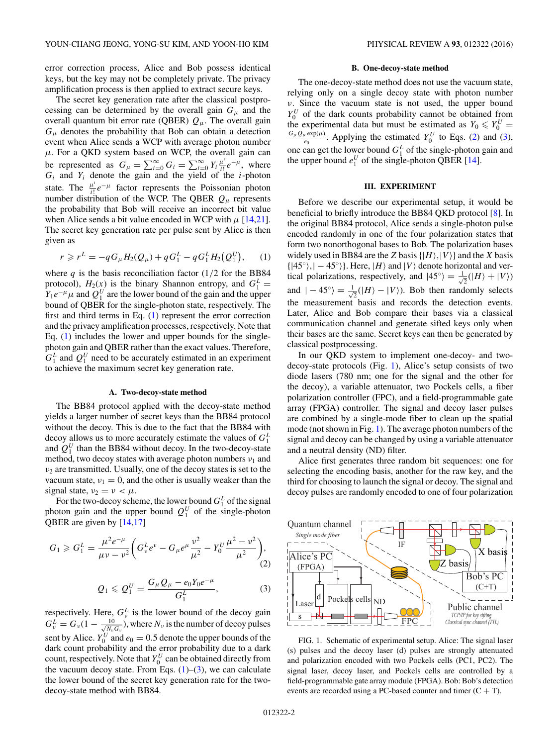<span id="page-1-0"></span>error correction process, Alice and Bob possess identical keys, but the key may not be completely private. The privacy amplification process is then applied to extract secure keys.

The secret key generation rate after the classical postprocessing can be determined by the overall gain  $G_{\mu}$  and the overall quantum bit error rate (QBER) *Qμ*. The overall gain  $G_{\mu}$  denotes the probability that Bob can obtain a detection event when Alice sends a WCP with average photon number  $\mu$ . For a QKD system based on WCP, the overall gain can be represented as  $G_{\mu} = \sum_{i=0}^{\infty} G_i = \sum_{i=0}^{\infty} Y_i \frac{\mu^i}{i!} e^{-\mu}$ , where  $G_i$  and  $Y_i$  denote the gain and the yield of the *i*-photon state. The  $\frac{\mu^i}{i!}e^{-\mu}$  factor represents the Poissonian photon number distribution of the WCP. The QBER  $Q_{\mu}$  represents the probability that Bob will receive an incorrect bit value when Alice sends a bit value encoded in WCP with  $\mu$  [\[14,21\]](#page-4-0). The secret key generation rate per pulse sent by Alice is then given as

$$
r \geqslant r^{L} = -qG_{\mu}H_{2}(Q_{\mu}) + qG_{1}^{L} - qG_{1}^{L}H_{2}(Q_{1}^{U}), \qquad (1)
$$

where  $q$  is the basis reconciliation factor  $(1/2)$  for the BB84 protocol),  $H_2(x)$  is the binary Shannon entropy, and  $G_1^L =$  $Y_1e^{-\mu}\mu$  and  $Q_1^U$  are the lower bound of the gain and the upper bound of QBER for the single-photon state, respectively. The first and third terms in Eq. (1) represent the error correction and the privacy amplification processes, respectively. Note that Eq. (1) includes the lower and upper bounds for the singlephoton gain and QBER rather than the exact values. Therefore,  $G_1^L$  and  $Q_1^U$  need to be accurately estimated in an experiment to achieve the maximum secret key generation rate.

## **A. Two-decoy-state method**

The BB84 protocol applied with the decoy-state method yields a larger number of secret keys than the BB84 protocol without the decoy. This is due to the fact that the BB84 with decoy allows us to more accurately estimate the values of  $G_1^L$ and  $Q_1^U$  than the BB84 without decoy. In the two-decoy-state method, two decoy states with average photon numbers *ν*<sub>1</sub> and *ν*<sup>2</sup> are transmitted. Usually, one of the decoy states is set to the vacuum state,  $v_1 = 0$ , and the other is usually weaker than the signal state,  $v_2 = v < \mu$ .

For the two-decoy scheme, the lower bound  $G_1^L$  of the signal photon gain and the upper bound  $Q_1^U$  of the single-photon QBER are given by [\[14,17\]](#page-4-0)

$$
G_1 \geq G_1^L = \frac{\mu^2 e^{-\mu}}{\mu \nu - \nu^2} \left( G_{\nu}^L e^{\nu} - G_{\mu} e^{\mu} \frac{\nu^2}{\mu^2} - Y_0^U \frac{\mu^2 - \nu^2}{\mu^2} \right),
$$
  

$$
Q_1 \leq Q_1^U = \frac{G_{\mu} Q_{\mu} - e_0 Y_0 e^{-\mu}}{G_1^L},
$$
 (3)

respectively. Here,  $G_v^L$  is the lower bound of the decoy gain  $G_{\nu}^{L} = G_{\nu} (1 - \frac{10}{\sqrt{N_{\nu}}}$  $\frac{10}{N_v G_v}$ ), where  $N_v$  is the number of decoy pulses sent by Alice.  $Y_0^U$  and  $e_0 = 0.5$  denote the upper bounds of the dark count probability and the error probability due to a dark count, respectively. Note that  $Y_0^U$  can be obtained directly from the vacuum decoy state. From Eqs.  $(1)$ – $(3)$ , we can calculate the lower bound of the secret key generation rate for the twodecoy-state method with BB84.

### **B. One-decoy-state method**

The one-decoy-state method does not use the vacuum state, relying only on a single decoy state with photon number *ν*. Since the vacuum state is not used, the upper bound  $Y_0^U$  of the dark counts probability cannot be obtained from the experimental data but must be estimated as  $Y_0 \n\t\leq Y_0^U =$ <br> $G_\mu Q_\mu \exp(\mu)$ . Applying the estimated  $Y^U$  to Eqs. (2) and (3)  $\frac{P_e \exp(\mu)}{P_e}$ . Applying the estimated  $Y_0^U$  to Eqs. (2) and (3), one can get the lower bound  $G_1^L$  of the single-photon gain and the upper bound  $e_1^U$  of the single-photon QBER [\[14\]](#page-4-0).

## **III. EXPERIMENT**

Before we describe our experimental setup, it would be beneficial to briefly introduce the BB84 QKD protocol [\[8\]](#page-4-0). In the original BB84 protocol, Alice sends a single-photon pulse encoded randomly in one of the four polarization states that form two nonorthogonal bases to Bob. The polarization bases widely used in BB84 are the *Z* basis  $\{|H\rangle, |V\rangle\}$  and the *X* basis  $\{|45^\circ\rangle, |-45^\circ\rangle\}$ . Here,  $|H\rangle$  and  $|V\rangle$  denote horizontal and vertical polarizations, respectively, and  $|45^{\circ}\rangle = \frac{1}{4}$  $\overline{P}_2(|H\rangle+|V\rangle)$ and  $|-45^{\circ}\rangle = \frac{1}{4}$  $\overline{Z}(|H\rangle - |V\rangle)$ . Bob then randomly selects the measurement basis and records the detection events. Later, Alice and Bob compare their bases via a classical communication channel and generate sifted keys only when their bases are the same. Secret keys can then be generated by classical postprocessing.

In our QKD system to implement one-decoy- and twodecoy-state protocols (Fig. 1), Alice's setup consists of two diode lasers (780 nm; one for the signal and the other for the decoy), a variable attenuator, two Pockels cells, a fiber polarization controller (FPC), and a field-programmable gate array (FPGA) controller. The signal and decoy laser pulses are combined by a single-mode fiber to clean up the spatial mode (not shown in Fig. 1). The average photon numbers of the signal and decoy can be changed by using a variable attenuator and a neutral density (ND) filter.

Alice first generates three random bit sequences: one for selecting the encoding basis, another for the raw key, and the third for choosing to launch the signal or decoy. The signal and decoy pulses are randomly encoded to one of four polarization



FIG. 1. Schematic of experimental setup. Alice: The signal laser (s) pulses and the decoy laser (d) pulses are strongly attenuated and polarization encoded with two Pockels cells (PC1, PC2). The signal laser, decoy laser, and Pockels cells are controlled by a field-programmable gate array module (FPGA). Bob: Bob's detection events are recorded using a PC-based counter and timer  $(C + T)$ .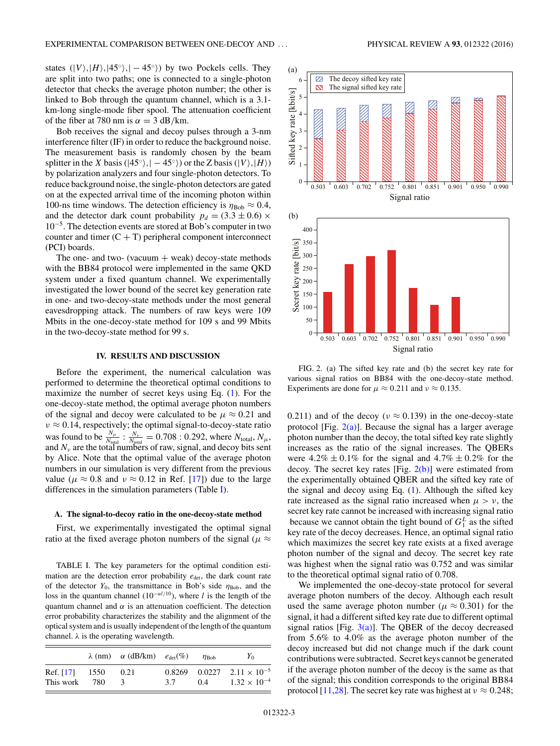states  $(|V\rangle, |H\rangle, |45^\circ\rangle, |-45^\circ\rangle)$  by two Pockels cells. They are split into two paths; one is connected to a single-photon detector that checks the average photon number; the other is linked to Bob through the quantum channel, which is a 3.1 km-long single-mode fiber spool. The attenuation coefficient of the fiber at 780 nm is  $\alpha = 3$  dB/km.

Bob receives the signal and decoy pulses through a 3-nm interference filter (IF) in order to reduce the background noise. The measurement basis is randomly chosen by the beam splitter in the *X* basis ( $|45°$ ),  $|-45°$ ) or the *Z* basis ( $|V\rangle$ ,  $|H\rangle$ ) by polarization analyzers and four single-photon detectors. To reduce background noise, the single-photon detectors are gated on at the expected arrival time of the incoming photon within 100-ns time windows. The detection efficiency is  $\eta_{\text{Bob}} \approx 0.4$ , and the detector dark count probability  $p_d = (3.3 \pm 0.6) \times$  $10^{-5}$ . The detection events are stored at Bob's computer in two counter and timer  $(C + T)$  peripheral component interconnect (PCI) boards.

The one- and two- (vacuum  $+$  weak) decoy-state methods with the BB84 protocol were implemented in the same QKD system under a fixed quantum channel. We experimentally investigated the lower bound of the secret key generation rate in one- and two-decoy-state methods under the most general eavesdropping attack. The numbers of raw keys were 109 Mbits in the one-decoy-state method for 109 s and 99 Mbits in the two-decoy-state method for 99 s.

# **IV. RESULTS AND DISCUSSION**

Before the experiment, the numerical calculation was performed to determine the theoretical optimal conditions to maximize the number of secret keys using Eq. [\(1\)](#page-1-0). For the one-decoy-state method, the optimal average photon numbers of the signal and decoy were calculated to be  $\mu \approx 0.21$  and *ν* ≈ 0.14, respectively; the optimal signal-to-decoy-state ratio was found to be  $\frac{N_{\mu}}{N_{\text{total}}}$  :  $\frac{N_{\nu}}{N_{\text{total}}}$  = 0.708 : 0.292, where  $N_{\text{total}}$ ,  $N_{\mu}$ , and  $N_\nu$  are the total numbers of raw, signal, and decoy bits sent by Alice. Note that the optimal value of the average photon numbers in our simulation is very different from the previous value ( $\mu \approx 0.8$  and  $\nu \approx 0.12$  in Ref. [\[17\]](#page-4-0)) due to the large differences in the simulation parameters (Table I).

#### **A. The signal-to-decoy ratio in the one-decoy-state method**

First, we experimentally investigated the optimal signal ratio at the fixed average photon numbers of the signal ( $\mu \approx$ 

TABLE I. The key parameters for the optimal condition estimation are the detection error probability  $e_{\text{det}}$ , the dark count rate of the detector  $Y_0$ , the transmittance in Bob's side  $\eta_{\text{Bob}}$ , and the loss in the quantum channel (10<sup>−</sup>*αl/*10), where *l* is the length of the quantum channel and  $\alpha$  is an attenuation coefficient. The detection error probability characterizes the stability and the alignment of the optical system and is usually independent of the length of the quantum channel.  $\lambda$  is the operating wavelength.

|                             |     | $\lambda$ (nm) $\alpha$ (dB/km) $e_{\text{det}}(\%)$ |     | $\eta_{\rm Boh}$ | Y <sub>0</sub>                                                   |
|-----------------------------|-----|------------------------------------------------------|-----|------------------|------------------------------------------------------------------|
| Ref. [17] 1550<br>This work | 780 | 0.21                                                 | 3.7 | 0.4              | $0.8269$ $0.0227$ $2.11 \times 10^{-5}$<br>$1.32 \times 10^{-4}$ |



FIG. 2. (a) The sifted key rate and (b) the secret key rate for various signal ratios on BB84 with the one-decoy-state method. Experiments are done for  $\mu \approx 0.211$  and  $\nu \approx 0.135$ .

0.211) and of the decoy ( $\nu \approx 0.139$ ) in the one-decoy-state protocol [Fig.  $2(a)$ ]. Because the signal has a larger average photon number than the decoy, the total sifted key rate slightly increases as the ratio of the signal increases. The QBERs were  $4.2\% \pm 0.1\%$  for the signal and  $4.7\% \pm 0.2\%$  for the decoy. The secret key rates [Fig.  $2(b)$ ] were estimated from the experimentally obtained QBER and the sifted key rate of the signal and decoy using Eq. [\(1\)](#page-1-0). Although the sifted key rate increased as the signal ratio increased when  $\mu > \nu$ , the secret key rate cannot be increased with increasing signal ratio because we cannot obtain the tight bound of  $G_1^L$  as the sifted key rate of the decoy decreases. Hence, an optimal signal ratio which maximizes the secret key rate exists at a fixed average photon number of the signal and decoy. The secret key rate was highest when the signal ratio was 0.752 and was similar to the theoretical optimal signal ratio of 0.708.

We implemented the one-decoy-state protocol for several average photon numbers of the decoy. Although each result used the same average photon number ( $\mu \approx 0.301$ ) for the signal, it had a different sifted key rate due to different optimal signal ratios [Fig.  $3(a)$ ]. The QBER of the decoy decreased from 5*.*6% to 4*.*0% as the average photon number of the decoy increased but did not change much if the dark count contributions were subtracted. Secret keys cannot be generated if the average photon number of the decoy is the same as that of the signal; this condition corresponds to the original BB84 protocol [\[11,28\]](#page-4-0). The secret key rate was highest at  $v \approx 0.248$ ;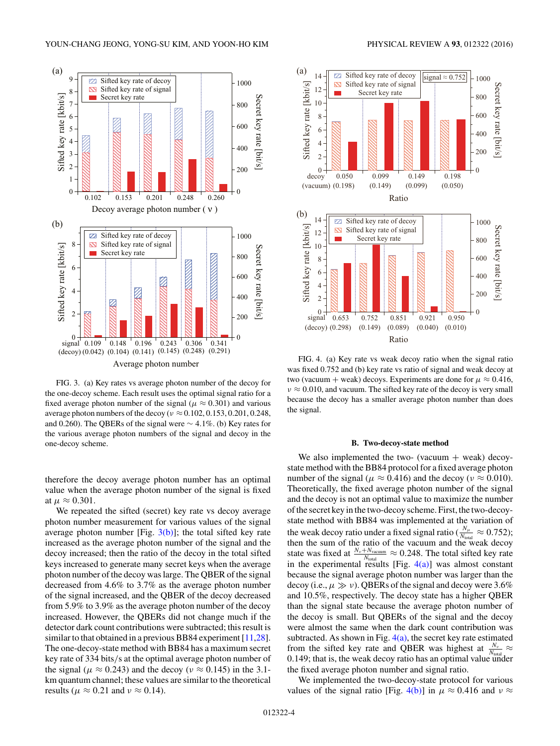<span id="page-3-0"></span>

FIG. 3. (a) Key rates vs average photon number of the decoy for the one-decoy scheme. Each result uses the optimal signal ratio for a fixed average photon number of the signal ( $\mu \approx 0.301$ ) and various average photon numbers of the decoy ( $\nu \approx 0.102, 0.153, 0.201, 0.248$ , and 0.260). The QBERs of the signal were ∼ 4*.*1%. (b) Key rates for the various average photon numbers of the signal and decoy in the one-decoy scheme.

therefore the decoy average photon number has an optimal value when the average photon number of the signal is fixed at  $\mu \approx 0.301$ .

We repeated the sifted (secret) key rate vs decoy average photon number measurement for various values of the signal average photon number [Fig.  $3(b)$ ]; the total sifted key rate increased as the average photon number of the signal and the decoy increased; then the ratio of the decoy in the total sifted keys increased to generate many secret keys when the average photon number of the decoy was large. The QBER of the signal decreased from 4.6% to 3.7% as the average photon number of the signal increased, and the QBER of the decoy decreased from 5.9% to 3.9% as the average photon number of the decoy increased. However, the QBERs did not change much if the detector dark count contributions were subtracted; this result is similar to that obtained in a previous BB84 experiment [\[11,28\]](#page-4-0). The one-decoy-state method with BB84 has a maximum secret key rate of 334 bits*/*s at the optimal average photon number of the signal ( $\mu \approx 0.243$ ) and the decoy ( $\nu \approx 0.145$ ) in the 3.1km quantum channel; these values are similar to the theoretical results ( $\mu \approx 0.21$  and  $\nu \approx 0.14$ ).



FIG. 4. (a) Key rate vs weak decoy ratio when the signal ratio was fixed 0.752 and (b) key rate vs ratio of signal and weak decoy at two (vacuum + weak) decoys. Experiments are done for  $\mu \approx 0.416$ ,  $\nu \approx 0.010$ , and vacuum. The sifted key rate of the decoy is very small because the decoy has a smaller average photon number than does the signal.

#### **B. Two-decoy-state method**

We also implemented the two- (vacuum  $+$  weak) decoystate method with the BB84 protocol for a fixed average photon number of the signal ( $\mu \approx 0.416$ ) and the decoy ( $\nu \approx 0.010$ ). Theoretically, the fixed average photon number of the signal and the decoy is not an optimal value to maximize the number of the secret key in the two-decoy scheme. First, the two-decoystate method with BB84 was implemented at the variation of the weak decoy ratio under a fixed signal ratio ( $\frac{N_{\mu}}{N_{\text{total}}} \approx 0.752$ ); then the sum of the ratio of the vacuum and the weak decoy state was fixed at  $\frac{N_v + N_{\text{vacuum}}}{N_{\text{total}}} \approx 0.248$ . The total sifted key rate in the experimental results [Fig.  $4(a)$ ] was almost constant because the signal average photon number was larger than the decoy (i.e.,  $\mu \gg \nu$ ). QBERs of the signal and decoy were 3.6% and 10.5%, respectively. The decoy state has a higher QBER than the signal state because the average photon number of the decoy is small. But QBERs of the signal and the decoy were almost the same when the dark count contribution was subtracted. As shown in Fig.  $4(a)$ , the secret key rate estimated from the sifted key rate and QBER was highest at  $\frac{N_v}{N_{\text{total}}} \approx$ 0*.*149; that is, the weak decoy ratio has an optimal value under the fixed average photon number and signal ratio.

We implemented the two-decoy-state protocol for various values of the signal ratio [Fig. 4(b)] in  $\mu \approx 0.416$  and  $\nu \approx$